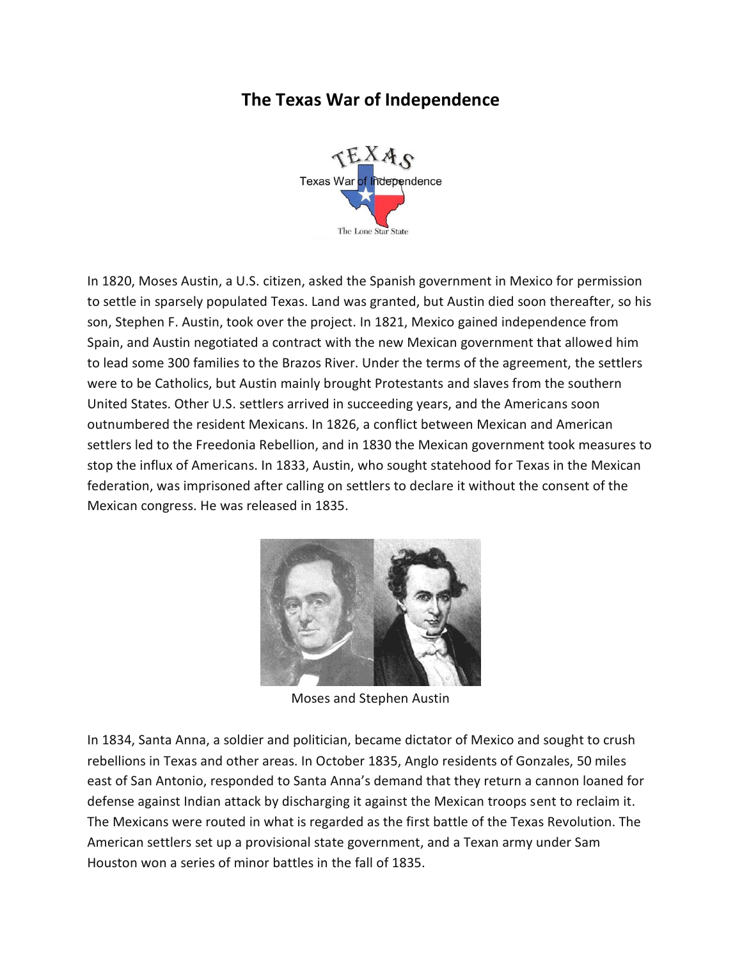## **The Texas War of Independence**



In 1820, Moses Austin, a U.S. citizen, asked the Spanish government in Mexico for permission to settle in sparsely populated Texas. Land was granted, but Austin died soon thereafter, so his son, Stephen F. Austin, took over the project. In 1821, Mexico gained independence from Spain, and Austin negotiated a contract with the new Mexican government that allowed him to lead some 300 families to the Brazos River. Under the terms of the agreement, the settlers were to be Catholics, but Austin mainly brought Protestants and slaves from the southern United States. Other U.S. settlers arrived in succeeding years, and the Americans soon outnumbered the resident Mexicans. In 1826, a conflict between Mexican and American settlers led to the Freedonia Rebellion, and in 1830 the Mexican government took measures to stop the influx of Americans. In 1833, Austin, who sought statehood for Texas in the Mexican federation, was imprisoned after calling on settlers to declare it without the consent of the Mexican congress. He was released in 1835.



Moses and Stephen Austin

In 1834, Santa Anna, a soldier and politician, became dictator of Mexico and sought to crush rebellions in Texas and other areas. In October 1835, Anglo residents of Gonzales, 50 miles east of San Antonio, responded to Santa Anna's demand that they return a cannon loaned for defense against Indian attack by discharging it against the Mexican troops sent to reclaim it. The Mexicans were routed in what is regarded as the first battle of the Texas Revolution. The American settlers set up a provisional state government, and a Texan army under Sam Houston won a series of minor battles in the fall of 1835.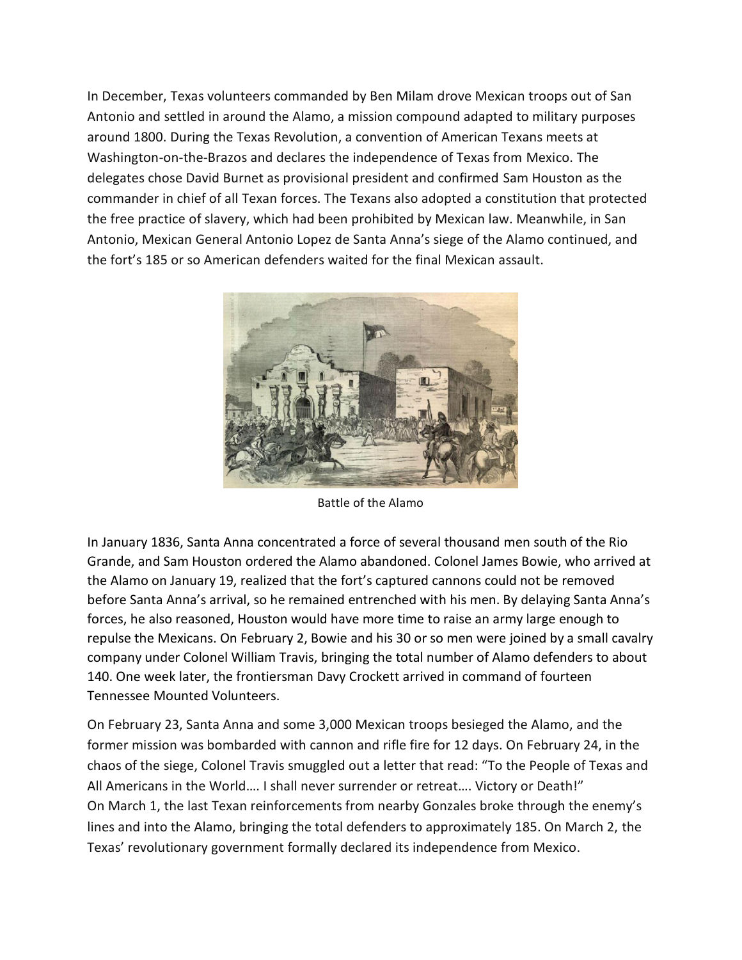In December, Texas volunteers commanded by Ben Milam drove Mexican troops out of San Antonio and settled in around the Alamo, a mission compound adapted to military purposes around 1800. During the Texas Revolution, a convention of American Texans meets at Washington-on-the-Brazos and declares the independence of Texas from Mexico. The delegates chose David Burnet as provisional president and confirmed Sam Houston as the commander in chief of all Texan forces. The Texans also adopted a constitution that protected the free practice of slavery, which had been prohibited by Mexican law. Meanwhile, in San Antonio, Mexican General Antonio Lopez de Santa Anna's siege of the Alamo continued, and the fort's 185 or so American defenders waited for the final Mexican assault.



Battle of the Alamo

In January 1836, Santa Anna concentrated a force of several thousand men south of the Rio Grande, and Sam Houston ordered the Alamo abandoned. Colonel James Bowie, who arrived at the Alamo on January 19, realized that the fort's captured cannons could not be removed before Santa Anna's arrival, so he remained entrenched with his men. By delaying Santa Anna's forces, he also reasoned, Houston would have more time to raise an army large enough to repulse the Mexicans. On February 2, Bowie and his 30 or so men were joined by a small cavalry company under Colonel William Travis, bringing the total number of Alamo defenders to about 140. One week later, the frontiersman Davy Crockett arrived in command of fourteen Tennessee Mounted Volunteers.

On February 23, Santa Anna and some 3,000 Mexican troops besieged the Alamo, and the former mission was bombarded with cannon and rifle fire for 12 days. On February 24, in the chaos of the siege, Colonel Travis smuggled out a letter that read: "To the People of Texas and All Americans in the World…. I shall never surrender or retreat…. Victory or Death!" On March 1, the last Texan reinforcements from nearby Gonzales broke through the enemy's lines and into the Alamo, bringing the total defenders to approximately 185. On March 2, the Texas' revolutionary government formally declared its independence from Mexico.